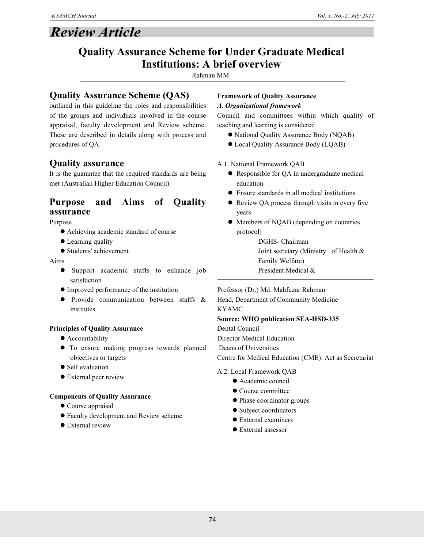# *Review Article*

# **Quality Assurance Scheme for Under Graduate Medical Institutions: A brief overview**

Rahman MM

# **Quality Assurance Scheme (QAS)**

outlined in this guideline the roles and responsibilities of the groups and individuals involved in the course appraisal, faculty development and Review scheme. These are described in details along with process and procedures of QA.

# **Quality assurance**

It is the guarantee that the required standards are being met (Australian Higher Education Council)

# **Purpose and Aims of Quality assurance**

Purpose

- l Achieving academic standard of course
- Learning quality
- Students' achievement

#### Aims

- **•** Support academic staffs to enhance job satisfaction
- l Improved performance of the institution
- **•** Provide communication between staffs & institutes

#### **Principles of Quality Assurance**

- **•** Accountability
- $\bullet$  To ensure making progress towards planned objectives or targets
- $\bullet$  Self evaluation
- **•** External peer review

#### **Components of Quality Assurance**

- $\bullet$  Course appraisal
- **•** Faculty development and Review scheme
- $\bullet$  External review

#### **Framework of Quality Assurance** *A. Organizational framework*

Council and committees within which quality of teaching and learning is considered

- National Quality Assurance Body (NQAB)
- $\bullet$  Local Quality Assurance Body (LQAB)
- A.1. National Framework QAB
	- Responsible for QA in undergraduate medical education
	- $\bullet$  Ensure standards in all medical institutions
	- Review QA process through visits in every five years
	- Members of NQAB (depending on countries protocol)

DGHS- Chairman Joint secretary (Ministry of Health & Family Welfare) President Medical &

Professor (Dr.) Md. Mahfuzar Rahman

Head, Department of Community Medicine KYAMC

#### **Source: WHO publication SEA-HSD-335**

Dental Council

Director Medical Education

Deans of Universities

Centre for Medical Education (CME): Act as Secretariat

#### A.2. Local Framework QAB

- $\bullet$  Academic council
- Course committee
- Phase coordinator groups
- Subject coordinators
- **External examiners**
- External assessor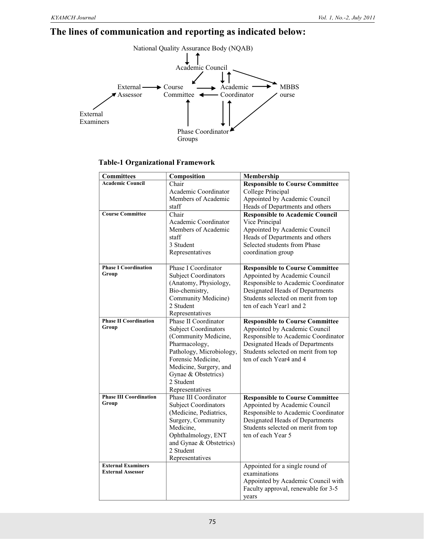# **The lines of communication and reporting as indicated below:**



#### **Table-1 Organizational Framework**

| <b>Committees</b>             | Composition                 | Membership                             |
|-------------------------------|-----------------------------|----------------------------------------|
| <b>Academic Council</b>       | Chair                       | <b>Responsible to Course Committee</b> |
|                               | Academic Coordinator        | College Principal                      |
|                               | Members of Academic         | Appointed by Academic Council          |
|                               | staff                       | Heads of Departments and others        |
| <b>Course Committee</b>       | Chair                       | <b>Responsible to Academic Council</b> |
|                               | Academic Coordinator        | Vice Principal                         |
|                               | Members of Academic         | Appointed by Academic Council          |
|                               | staff                       | Heads of Departments and others        |
|                               | 3 Student                   | Selected students from Phase           |
|                               | Representatives             | coordination group                     |
| <b>Phase I Coordination</b>   | Phase I Coordinator         | <b>Responsible to Course Committee</b> |
| Group                         | <b>Subject Coordinators</b> | Appointed by Academic Council          |
|                               | (Anatomy, Physiology,       | Responsible to Academic Coordinator    |
|                               | Bio-chemistry,              | Designated Heads of Departments        |
|                               | Community Medicine)         | Students selected on merit from top    |
|                               | 2 Student                   | ten of each Year1 and 2                |
|                               | Representatives             |                                        |
| <b>Phase II Coordination</b>  | Phase II Coordinator        | <b>Responsible to Course Committee</b> |
| Group                         | <b>Subject Coordinators</b> | Appointed by Academic Council          |
|                               | (Community Medicine,        | Responsible to Academic Coordinator    |
|                               | Pharmacology,               | Designated Heads of Departments        |
|                               | Pathology, Microbiology,    | Students selected on merit from top    |
|                               | Forensic Medicine,          | ten of each Year4 and 4                |
|                               | Medicine, Surgery, and      |                                        |
|                               | Gynae & Obstetrics)         |                                        |
|                               | 2 Student                   |                                        |
|                               | Representatives             |                                        |
| <b>Phase III Coordination</b> | Phase III Coordinator       | <b>Responsible to Course Committee</b> |
| Group                         | <b>Subject Coordinators</b> | Appointed by Academic Council          |
|                               | (Medicine, Pediatrics,      | Responsible to Academic Coordinator    |
|                               | Surgery, Community          | Designated Heads of Departments        |
|                               | Medicine,                   | Students selected on merit from top    |
|                               | Ophthalmology, ENT          | ten of each Year 5                     |
|                               | and Gynae & Obstetrics)     |                                        |
|                               | 2 Student                   |                                        |
|                               | Representatives             |                                        |
| <b>External Examiners</b>     |                             | Appointed for a single round of        |
| <b>External Assessor</b>      |                             | examinations                           |
|                               |                             | Appointed by Academic Council with     |
|                               |                             | Faculty approval, renewable for 3-5    |
|                               |                             | years                                  |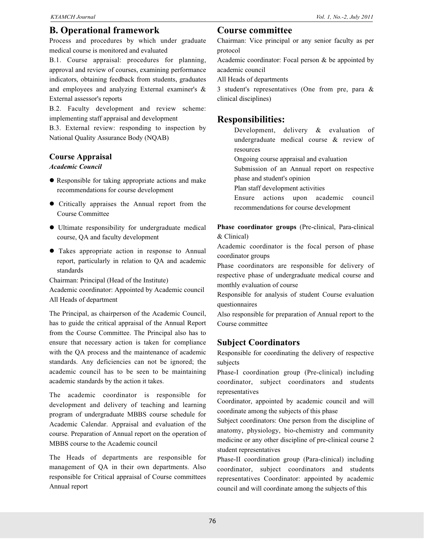# **B. Operational framework**

Process and procedures by which under graduate medical course is monitored and evaluated

B.1. Course appraisal: procedures for planning, approval and review of courses, examining performance indicators, obtaining feedback from students, graduates and employees and analyzing External examiner's & External assessor's reports

B.2. Faculty development and review scheme: implementing staff appraisal and development

B.3. External review: responding to inspection by National Quality Assurance Body (NQAB)

#### **Course Appraisal**

#### *Academic Council*

- Responsible for taking appropriate actions and make recommendations for course development
- Critically appraises the Annual report from the Course Committee
- $\bullet$  Ultimate responsibility for undergraduate medical course, QA and faculty development
- **•** Takes appropriate action in response to Annual report, particularly in relation to QA and academic standards

Chairman: Principal (Head of the Institute)

Academic coordinator: Appointed by Academic council All Heads of department

The Principal, as chairperson of the Academic Council, has to guide the critical appraisal of the Annual Report from the Course Committee. The Principal also has to ensure that necessary action is taken for compliance with the QA process and the maintenance of academic standards. Any deficiencies can not be ignored; the academic council has to be seen to be maintaining academic standards by the action it takes.

The academic coordinator is responsible for development and delivery of teaching and learning program of undergraduate MBBS course schedule for Academic Calendar. Appraisal and evaluation of the course. Preparation of Annual report on the operation of MBBS course to the Academic council

The Heads of departments are responsible for management of QA in their own departments. Also responsible for Critical appraisal of Course committees Annual report

## **Course committee**

Chairman: Vice principal or any senior faculty as per protocol

Academic coordinator: Focal person & be appointed by academic council

All Heads of departments

3 student's representatives (One from pre, para & clinical disciplines)

# **Responsibilities:**

Development, delivery & evaluation of undergraduate medical course & review of resources

Ongoing course appraisal and evaluation

Submission of an Annual report on respective phase and student's opinion

Plan staff development activities

Ensure actions upon academic council recommendations for course development

**Phase coordinator groups** (Pre-clinical, Para-clinical & Clinical)

Academic coordinator is the focal person of phase coordinator groups

Phase coordinators are responsible for delivery of respective phase of undergraduate medical course and monthly evaluation of course

Responsible for analysis of student Course evaluation questionnaires

Also responsible for preparation of Annual report to the Course committee

## **Subject Coordinators**

Responsible for coordinating the delivery of respective subjects

Phase-I coordination group (Pre-clinical) including coordinator, subject coordinators and students representatives

Coordinator, appointed by academic council and will coordinate among the subjects of this phase

Subject coordinators: One person from the discipline of anatomy, physiology, bio-chemistry and community medicine or any other discipline of pre-clinical course 2 student representatives

Phase-II coordination group (Para-clinical) including coordinator, subject coordinators and students representatives Coordinator: appointed by academic council and will coordinate among the subjects of this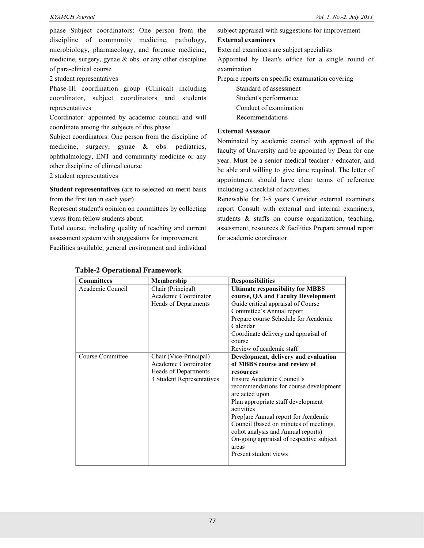phase Subject coordinators: One person from the discipline of community medicine, pathology, microbiology, pharmacology, and forensic medicine, medicine, surgery, gynae & obs. or any other discipline of para-clinical course

2 student representatives

Phase-III coordination group (Clinical) including coordinator, subject coordinators and students representatives

Coordinator: appointed by academic council and will coordinate among the subjects of this phase

Subject coordinators: One person from the discipline of medicine, surgery, gynae & obs. pediatrics, ophthalmology, ENT and community medicine or any other discipline of clinical course

2 student representatives

**Student representatives** (are to selected on merit basis from the first ten in each year)

Represent student's opinion on committees by collecting views from fellow students about:

Total course, including quality of teaching and current assessment system with suggestions for improvement Facilities available, general environment and individual subject appraisal with suggestions for improvement

#### **External examiners**

External examiners are subject specialists

Appointed by Dean's office for a single round of examination

Prepare reports on specific examination covering

Standard of assessment Student's performance Conduct of examination Recommendations

#### **External Assessor**

Nominated by academic council with approval of the faculty of University and be appointed by Dean for one year. Must be a senior medical teacher / educator, and be able and willing to give time required. The letter of appointment should have clear terms of reference including a checklist of activities.

Renewable for 3-5 years Consider external examiners report Consult with external and internal examiners, students & staffs on course organization, teaching, assessment, resources & facilities Prepare annual report for academic coordinator

| <b>Committees</b> | Membership                  | <b>Responsibilities</b>                  |
|-------------------|-----------------------------|------------------------------------------|
| Academic Council  | Chair (Principal)           | <b>Ultimate responsibility for MBBS</b>  |
|                   | Academic Coordinator        | course, QA and Faculty Development       |
|                   | <b>Heads of Departments</b> | Guide critical appraisal of Course       |
|                   |                             | Committee's Annual report                |
|                   |                             | Prepare course Schedule for Academic     |
|                   |                             | Calendar                                 |
|                   |                             | Coordinate delivery and appraisal of     |
|                   |                             | course                                   |
|                   |                             | Review of academic staff                 |
| Course Committee  | Chair (Vice-Principal)      | Development, delivery and evaluation     |
|                   | Academic Coordinator        | of MBBS course and review of             |
|                   | <b>Heads of Departments</b> | resources                                |
|                   | 3 Student Representatives   | Ensure Academic Council's                |
|                   |                             | recommendations for course development   |
|                   |                             | are acted upon                           |
|                   |                             | Plan appropriate staff development       |
|                   |                             | activities                               |
|                   |                             | Prep[are Annual report for Academic      |
|                   |                             | Council (based on minutes of meetings,   |
|                   |                             | cohot analysis and Annual reports)       |
|                   |                             | On-going appraisal of respective subject |
|                   |                             | areas                                    |
|                   |                             | Present student views                    |
|                   |                             |                                          |

#### **Table-2 Operational Framework**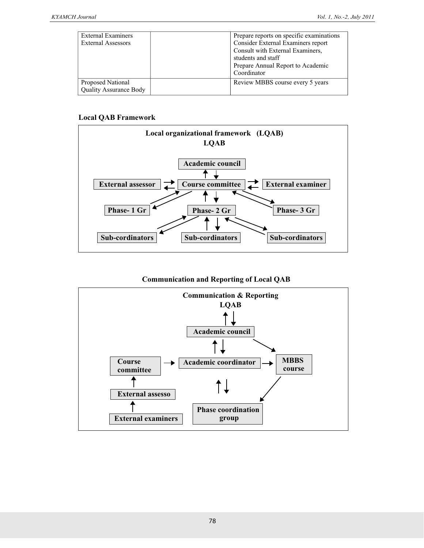| <b>External Examiners</b>     | Prepare reports on specific examinations |
|-------------------------------|------------------------------------------|
| <b>External Assessors</b>     | Consider External Examiners report       |
|                               | Consult with External Examiners,         |
|                               | students and staff                       |
|                               | Prepare Annual Report to Academic        |
|                               | Coordinator                              |
| Proposed National             | Review MBBS course every 5 years         |
| <b>Quality Assurance Body</b> |                                          |

### **Local QAB Framework**



## **Communication and Reporting of Local QAB**

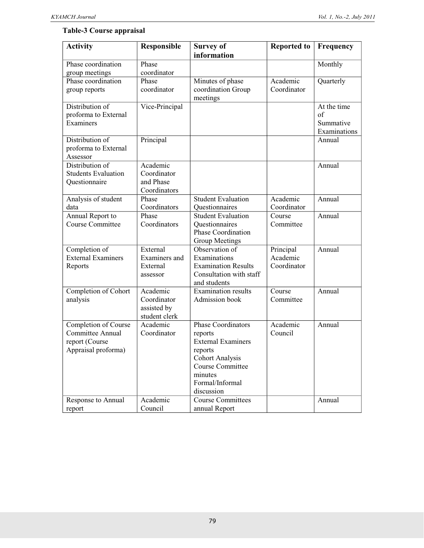# **Table-3 Course appraisal**

| <b>Activity</b>            | Responsible                  | <b>Survey of</b>                           | <b>Reported to</b> | <b>Frequency</b> |
|----------------------------|------------------------------|--------------------------------------------|--------------------|------------------|
|                            |                              | information                                |                    |                  |
| Phase coordination         | Phase                        |                                            |                    | Monthly          |
| group meetings             | coordinator                  |                                            |                    |                  |
| Phase coordination         | Phase                        | Minutes of phase                           | Academic           | Quarterly        |
| group reports              | coordinator                  | coordination Group                         | Coordinator        |                  |
|                            |                              | meetings                                   |                    |                  |
| Distribution of            | Vice-Principal               |                                            |                    | At the time      |
| proforma to External       |                              |                                            |                    | of               |
| Examiners                  |                              |                                            |                    | Summative        |
|                            |                              |                                            |                    | Examinations     |
| Distribution of            | Principal                    |                                            |                    | Annual           |
| proforma to External       |                              |                                            |                    |                  |
| Assessor                   |                              |                                            |                    |                  |
| Distribution of            | Academic                     |                                            |                    | Annual           |
| <b>Students Evaluation</b> | Coordinator                  |                                            |                    |                  |
| Questionnaire              | and Phase                    |                                            |                    |                  |
|                            | Coordinators                 |                                            |                    |                  |
| Analysis of student        | Phase                        | <b>Student Evaluation</b>                  | Academic           | Annual           |
| data                       | Coordinators                 | Questionnaires                             | Coordinator        |                  |
| Annual Report to           | Phase                        | <b>Student Evaluation</b>                  | Course             | Annual           |
| Course Committee           | Coordinators                 | Questionnaires                             | Committee          |                  |
|                            |                              | Phase Coordination                         |                    |                  |
|                            |                              | Group Meetings                             |                    |                  |
| Completion of              | External                     | Observation of                             | Principal          | Annual           |
| <b>External Examiners</b>  | Examiners and                | Examinations                               | Academic           |                  |
| Reports                    | External                     | <b>Examination Results</b>                 | Coordinator        |                  |
|                            | assessor                     | Consultation with staff                    |                    |                  |
|                            |                              | and students<br><b>Examination results</b> |                    |                  |
| Completion of Cohort       | Academic                     |                                            | Course             | Annual           |
| analysis                   | Coordinator                  | Admission book                             | Committee          |                  |
|                            | assisted by<br>student clerk |                                            |                    |                  |
| Completion of Course       | Academic                     | <b>Phase Coordinators</b>                  | Academic           | Annual           |
| Committee Annual           | Coordinator                  | reports                                    | Council            |                  |
| report (Course             |                              | <b>External Examiners</b>                  |                    |                  |
| Appraisal proforma)        |                              | reports                                    |                    |                  |
|                            |                              | <b>Cohort Analysis</b>                     |                    |                  |
|                            |                              | Course Committee                           |                    |                  |
|                            |                              | minutes                                    |                    |                  |
|                            |                              | Formal/Informal                            |                    |                  |
|                            |                              | discussion                                 |                    |                  |
| Response to Annual         | Academic                     | <b>Course Committees</b>                   |                    | Annual           |
| report                     | Council                      | annual Report                              |                    |                  |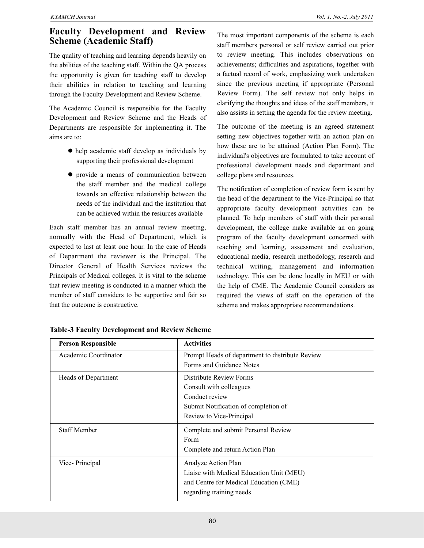# **Faculty Development and Review Scheme (Academic Staff)**

The quality of teaching and learning depends heavily on the abilities of the teaching staff. Within the QA process the opportunity is given for teaching staff to develop their abilities in relation to teaching and learning through the Faculty Development and Review Scheme.

The Academic Council is responsible for the Faculty Development and Review Scheme and the Heads of Departments are responsible for implementing it. The aims are to:

- help academic staff develop as individuals by supporting their professional development
- $\bullet$  provide a means of communication between the staff member and the medical college towards an effective relationship between the needs of the individual and the institution that can be achieved within the resiurces available

Each staff member has an annual review meeting, normally with the Head of Department, which is expected to last at least one hour. In the case of Heads of Department the reviewer is the Principal. The Director General of Health Services reviews the Principals of Medical colleges. It is vital to the scheme that review meeting is conducted in a manner which the member of staff considers to be supportive and fair so that the outcome is constructive.

The most important components of the scheme is each staff members personal or self review carried out prior to review meeting. This includes observations on achievements; difficulties and aspirations, together with a factual record of work, emphasizing work undertaken since the previous meeting if appropriate (Personal Review Form). The self review not only helps in clarifying the thoughts and ideas of the staff members, it also assists in setting the agenda for the review meeting.

The outcome of the meeting is an agreed statement setting new objectives together with an action plan on how these are to be attained (Action Plan Form). The individual's objectives are formulated to take account of professional development needs and department and college plans and resources.

The notification of completion of review form is sent by the head of the department to the Vice-Principal so that appropriate faculty development activities can be planned. To help members of staff with their personal development, the college make available an on going program of the faculty development concerned with teaching and learning, assessment and evaluation, educational media, research methodology, research and technical writing, management and information technology. This can be done locally in MEU or with the help of CME. The Academic Council considers as required the views of staff on the operation of the scheme and makes appropriate recommendations.

| <b>Person Responsible</b> | <b>Activities</b>                               |
|---------------------------|-------------------------------------------------|
| Academic Coordinator      | Prompt Heads of department to distribute Review |
|                           | Forms and Guidance Notes                        |
| Heads of Department       | Distribute Review Forms                         |
|                           | Consult with colleagues                         |
|                           | Conduct review                                  |
|                           | Submit Notification of completion of            |
|                           | Review to Vice-Principal                        |
| <b>Staff Member</b>       | Complete and submit Personal Review             |
|                           | Form                                            |
|                           | Complete and return Action Plan                 |
| Vice-Principal            | Analyze Action Plan                             |
|                           | Liaise with Medical Education Unit (MEU)        |
|                           | and Centre for Medical Education (CME)          |
|                           | regarding training needs                        |

**Table-3 Faculty Development and Review Scheme**